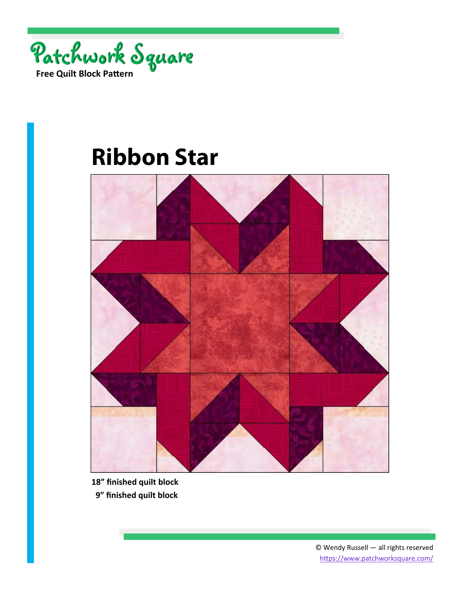

## **Ribbon Star**



**18" finished quilt block** 

 **9" finished quilt block**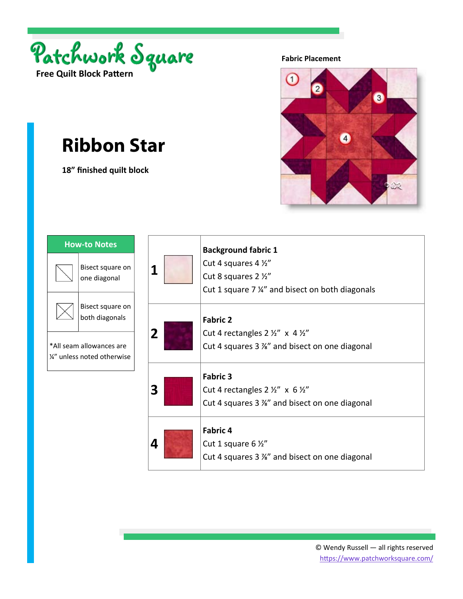

## **Ribbon Star**

**18" finished quilt block** 

**Fabric Placement** 



| <b>How-to Notes</b>                                     |  |   |  |  |
|---------------------------------------------------------|--|---|--|--|
| Bisect square on<br>one diagonal                        |  | 1 |  |  |
| Bisect square on<br>both diagonals                      |  |   |  |  |
| *All seam allowances are<br>1/4" unless noted otherwise |  |   |  |  |
|                                                         |  |   |  |  |
|                                                         |  |   |  |  |

| 1 | <b>Background fabric 1</b><br>Cut 4 squares 4 1/2"<br>Cut 8 squares 2 1/2"<br>Cut 1 square 7 %" and bisect on both diagonals |
|---|------------------------------------------------------------------------------------------------------------------------------|
| 2 | <b>Fabric 2</b><br>Cut 4 rectangles $2 \frac{1}{2}$ " x 4 $\frac{1}{2}$ "<br>Cut 4 squares 3 %" and bisect on one diagonal   |
| 3 | <b>Fabric 3</b><br>Cut 4 rectangles $2 \frac{1}{2}$ " x 6 1/2"<br>Cut 4 squares 3 %" and bisect on one diagonal              |
|   | <b>Fabric 4</b><br>Cut 1 square 6 $\frac{1}{2}$ "<br>Cut 4 squares 3 %" and bisect on one diagonal                           |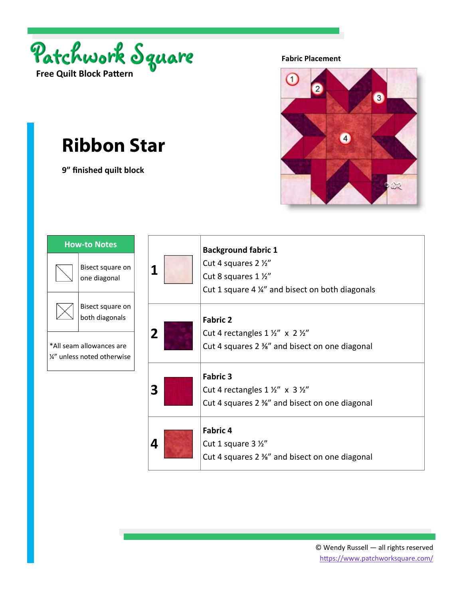

## **Ribbon Star**

**9" finished quilt block** 

**Fabric Placement** 



| <b>How-to Notes</b> |                                                                                                          |   | <b>Background fabric 1</b>                                                                                                 |
|---------------------|----------------------------------------------------------------------------------------------------------|---|----------------------------------------------------------------------------------------------------------------------------|
|                     | Bisect square on<br>one diagonal                                                                         | 1 | Cut 4 squares 2 1/2"<br>Cut 8 squares 1 1/2"<br>Cut 1 square 4 %" and bisect on both diagonals                             |
|                     | Bisect square on<br>both diagonals<br>*All seam allowances are<br>$\frac{1}{4}$ " unless noted otherwise | 2 | <b>Fabric 2</b><br>Cut 4 rectangles $1 \frac{1}{2}$ " x $2 \frac{1}{2}$ "<br>Cut 4 squares 2 %" and bisect on one diagonal |
|                     |                                                                                                          | 3 | <b>Fabric 3</b><br>Cut 4 rectangles $1\frac{1}{2}$ x $3\frac{1}{2}$<br>Cut 4 squares 2 %" and bisect on one diagonal       |
|                     |                                                                                                          | 4 | <b>Fabric 4</b><br>Cut 1 square 3 1/2"<br>Cut 4 squares 2 %" and bisect on one diagonal                                    |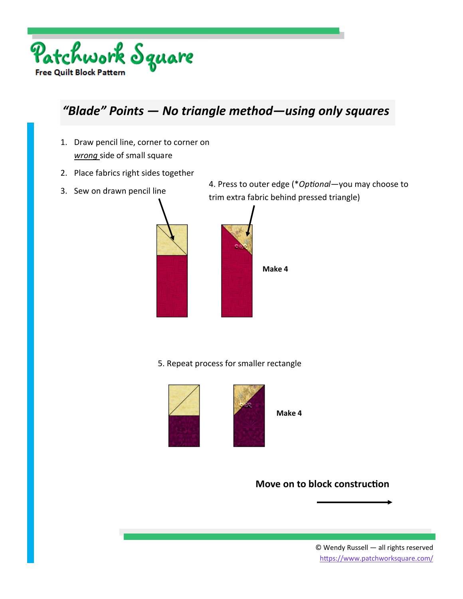

## *"Blade" Points — No triangle method—using only squares*

- 1. Draw pencil line, corner to corner on *wrong* side of small square
- 2. Place fabrics right sides together
- 

3. Sew on drawn pencil line 4. Press to outer edge (\**OpƟonal*—you may choose to trim extra fabric behind pressed triangle)



5. Repeat process for smaller rectangle





**Make 4** 

**Move on to block construction**